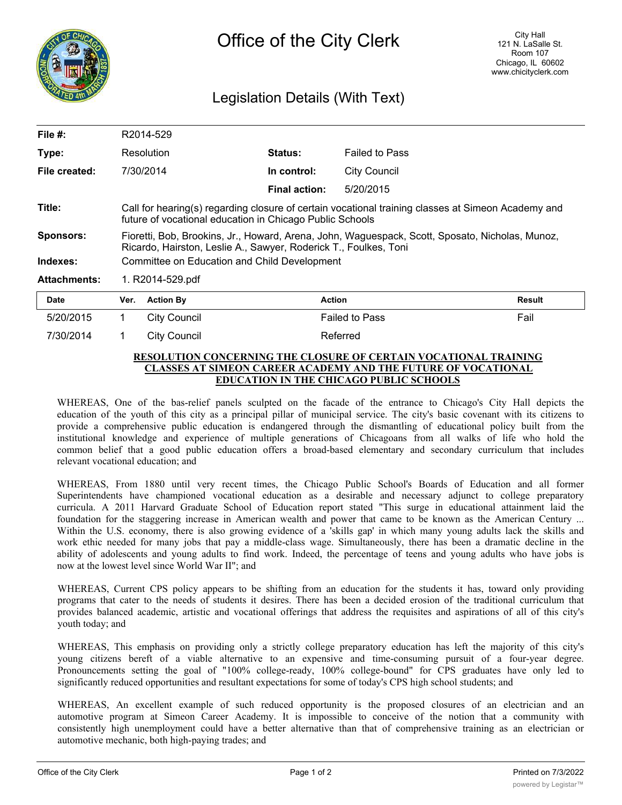

## Legislation Details (With Text)

| File $#$ :          | R2014-529                                                                                                                                                           |                     |                      |                       |        |  |
|---------------------|---------------------------------------------------------------------------------------------------------------------------------------------------------------------|---------------------|----------------------|-----------------------|--------|--|
| Type:               | Resolution                                                                                                                                                          |                     | <b>Status:</b>       | <b>Failed to Pass</b> |        |  |
| File created:       |                                                                                                                                                                     | 7/30/2014           | In control:          | <b>City Council</b>   |        |  |
|                     |                                                                                                                                                                     |                     | <b>Final action:</b> | 5/20/2015             |        |  |
| Title:              | Call for hearing(s) regarding closure of certain vocational training classes at Simeon Academy and<br>future of vocational education in Chicago Public Schools      |                     |                      |                       |        |  |
| <b>Sponsors:</b>    | Fioretti, Bob, Brookins, Jr., Howard, Arena, John, Waguespack, Scott, Sposato, Nicholas, Munoz,<br>Ricardo, Hairston, Leslie A., Sawyer, Roderick T., Foulkes, Toni |                     |                      |                       |        |  |
| Indexes:            | Committee on Education and Child Development                                                                                                                        |                     |                      |                       |        |  |
| <b>Attachments:</b> | 1. R2014-529.pdf                                                                                                                                                    |                     |                      |                       |        |  |
| <b>Date</b>         | Ver.                                                                                                                                                                | <b>Action By</b>    |                      | <b>Action</b>         | Result |  |
| 5/20/2015           | 1.                                                                                                                                                                  | <b>City Council</b> |                      | <b>Failed to Pass</b> | Fail   |  |
| 7/30/2014           |                                                                                                                                                                     | City Council        |                      | Referred              |        |  |

## **RESOLUTION CONCERNING THE CLOSURE OF CERTAIN VOCATIONAL TRAINING CLASSES AT SIMEON CAREER ACADEMY AND THE FUTURE OF VOCATIONAL EDUCATION IN THE CHICAGO PUBLIC SCHOOLS**

WHEREAS, One of the bas-relief panels sculpted on the facade of the entrance to Chicago's City Hall depicts the education of the youth of this city as a principal pillar of municipal service. The city's basic covenant with its citizens to provide a comprehensive public education is endangered through the dismantling of educational policy built from the institutional knowledge and experience of multiple generations of Chicagoans from all walks of life who hold the common belief that a good public education offers a broad-based elementary and secondary curriculum that includes relevant vocational education; and

WHEREAS, From 1880 until very recent times, the Chicago Public School's Boards of Education and all former Superintendents have championed vocational education as a desirable and necessary adjunct to college preparatory curricula. A 2011 Harvard Graduate School of Education report stated "This surge in educational attainment laid the foundation for the staggering increase in American wealth and power that came to be known as the American Century ... Within the U.S. economy, there is also growing evidence of a 'skills gap' in which many young adults lack the skills and work ethic needed for many jobs that pay a middle-class wage. Simultaneously, there has been a dramatic decline in the ability of adolescents and young adults to find work. Indeed, the percentage of teens and young adults who have jobs is now at the lowest level since World War II"; and

WHEREAS, Current CPS policy appears to be shifting from an education for the students it has, toward only providing programs that cater to the needs of students it desires. There has been a decided erosion of the traditional curriculum that provides balanced academic, artistic and vocational offerings that address the requisites and aspirations of all of this city's youth today; and

WHEREAS, This emphasis on providing only a strictly college preparatory education has left the majority of this city's young citizens bereft of a viable alternative to an expensive and time-consuming pursuit of a four-year degree. Pronouncements setting the goal of "100% college-ready, 100% college-bound" for CPS graduates have only led to significantly reduced opportunities and resultant expectations for some of today's CPS high school students; and

WHEREAS, An excellent example of such reduced opportunity is the proposed closures of an electrician and an automotive program at Simeon Career Academy. It is impossible to conceive of the notion that a community with consistently high unemployment could have a better alternative than that of comprehensive training as an electrician or automotive mechanic, both high-paying trades; and